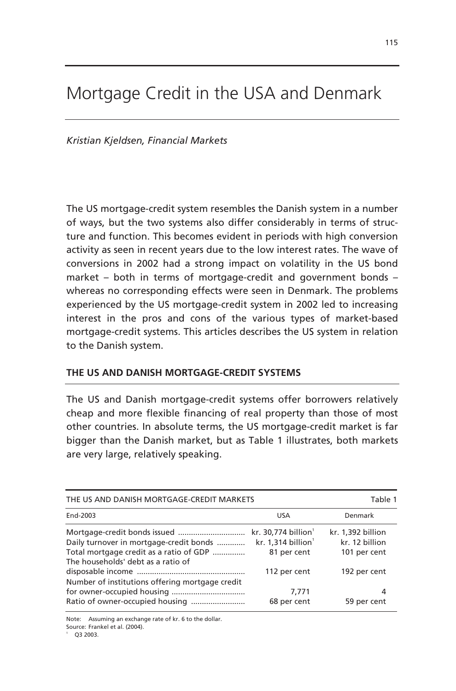# Mortgage Credit in the USA and Denmark

*Kristian Kjeldsen, Financial Markets* 

The US mortgage-credit system resembles the Danish system in a number of ways, but the two systems also differ considerably in terms of structure and function. This becomes evident in periods with high conversion activity as seen in recent years due to the low interest rates. The wave of conversions in 2002 had a strong impact on volatility in the US bond market – both in terms of mortgage-credit and government bonds – whereas no corresponding effects were seen in Denmark. The problems experienced by the US mortgage-credit system in 2002 led to increasing interest in the pros and cons of the various types of market-based mortgage-credit systems. This articles describes the US system in relation to the Danish system.

# **THE US AND DANISH MORTGAGE-CREDIT SYSTEMS**

The US and Danish mortgage-credit systems offer borrowers relatively cheap and more flexible financing of real property than those of most other countries. In absolute terms, the US mortgage-credit market is far bigger than the Danish market, but as Table 1 illustrates, both markets are very large, relatively speaking.

| THE US AND DANISH MORTGAGE-CREDIT MARKETS                                                                                | Table 1                                                                                            |                                                                     |
|--------------------------------------------------------------------------------------------------------------------------|----------------------------------------------------------------------------------------------------|---------------------------------------------------------------------|
| End-2003                                                                                                                 | <b>USA</b>                                                                                         | Denmark                                                             |
| Daily turnover in mortgage-credit bonds<br>Total mortgage credit as a ratio of GDP<br>The households' debt as a ratio of | kr. 30,774 billion <sup>1</sup><br>kr. $1,314$ billion <sup>1</sup><br>81 per cent<br>112 per cent | kr. 1,392 billion<br>kr. 12 billion<br>101 per cent<br>192 per cent |
| Number of institutions offering mortgage credit                                                                          | 7,771<br>68 per cent                                                                               | 4<br>59 per cent                                                    |

Note: Assuming an exchange rate of kr. 6 to the dollar. Source: Frankel et al. (2004).

Q3 2003.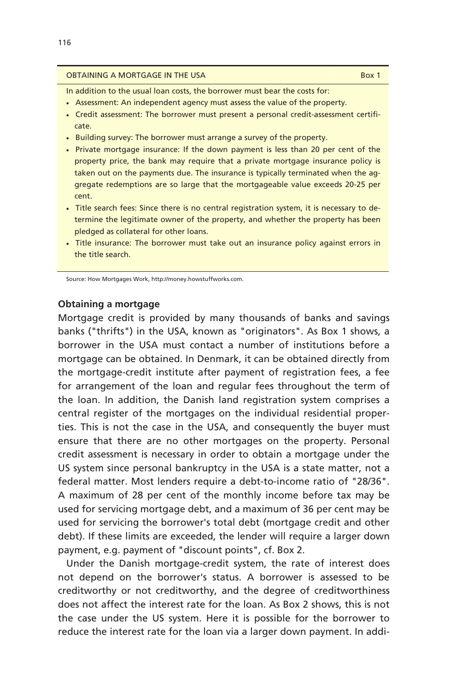#### **OBTAINING A MORTGAGE IN THE USA Box 1**

In addition to the usual loan costs, the borrower must bear the costs for:

- Assessment: An independent agency must assess the value of the property.
- Credit assessment: The borrower must present a personal credit-assessment certificate.
- Building survey: The borrower must arrange a survey of the property.
- Private mortgage insurance: If the down payment is less than 20 per cent of the property price, the bank may require that a private mortgage insurance policy is taken out on the payments due. The insurance is typically terminated when the aggregate redemptions are so large that the mortgageable value exceeds 20-25 per cent.
- Title search fees: Since there is no central registration system, it is necessary to determine the legitimate owner of the property, and whether the property has been pledged as collateral for other loans.
- Title insurance: The borrower must take out an insurance policy against errors in the title search.

Source: How Mortgages Work, http://money.howstuffworks.com.

## **Obtaining a mortgage**

Mortgage credit is provided by many thousands of banks and savings banks ("thrifts") in the USA, known as "originators". As Box 1 shows, a borrower in the USA must contact a number of institutions before a mortgage can be obtained. In Denmark, it can be obtained directly from the mortgage-credit institute after payment of registration fees, a fee for arrangement of the loan and regular fees throughout the term of the loan. In addition, the Danish land registration system comprises a central register of the mortgages on the individual residential properties. This is not the case in the USA, and consequently the buyer must ensure that there are no other mortgages on the property. Personal credit assessment is necessary in order to obtain a mortgage under the US system since personal bankruptcy in the USA is a state matter, not a federal matter. Most lenders require a debt-to-income ratio of "28/36". A maximum of 28 per cent of the monthly income before tax may be used for servicing mortgage debt, and a maximum of 36 per cent may be used for servicing the borrower's total debt (mortgage credit and other debt). If these limits are exceeded, the lender will require a larger down payment, e.g. payment of "discount points", cf. Box 2.

Under the Danish mortgage-credit system, the rate of interest does not depend on the borrower's status. A borrower is assessed to be creditworthy or not creditworthy, and the degree of creditworthiness does not affect the interest rate for the loan. As Box 2 shows, this is not the case under the US system. Here it is possible for the borrower to reduce the interest rate for the loan via a larger down payment. In addi-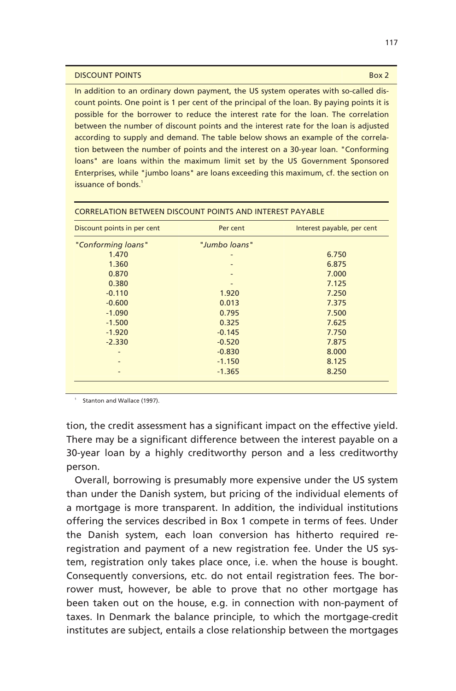#### **DISCOUNT POINTS** Box 2

In addition to an ordinary down payment, the US system operates with so-called discount points. One point is 1 per cent of the principal of the loan. By paying points it is possible for the borrower to reduce the interest rate for the loan. The correlation between the number of discount points and the interest rate for the loan is adjusted according to supply and demand. The table below shows an example of the correlation between the number of points and the interest on a 30-year loan. "Conforming loans" are loans within the maximum limit set by the US Government Sponsored Enterprises, while "jumbo loans" are loans exceeding this maximum, cf. the section on issuance of bonds.<sup>1</sup>

| Discount points in per cent | Per cent      | Interest payable, per cent |
|-----------------------------|---------------|----------------------------|
| "Conforming loans"          | "Jumbo loans" |                            |
| 1.470                       |               | 6.750                      |
| 1.360                       |               | 6.875                      |
| 0.870                       |               | 7.000                      |
| 0.380                       |               | 7.125                      |
| $-0.110$                    | 1.920         | 7.250                      |
| $-0.600$                    | 0.013         | 7.375                      |
| $-1.090$                    | 0.795         | 7.500                      |
| $-1.500$                    | 0.325         | 7.625                      |
| $-1.920$                    | $-0.145$      | 7.750                      |
| $-2.330$                    | $-0.520$      | 7.875                      |
|                             | $-0.830$      | 8.000                      |
|                             | $-1.150$      | 8.125                      |
|                             | $-1.365$      | 8.250                      |

#### CORRELATION BETWEEN DISCOUNT POINTS AND INTEREST PAYABLE

Stanton and Wallace (1997).

tion, the credit assessment has a significant impact on the effective yield. There may be a significant difference between the interest payable on a 30-year loan by a highly creditworthy person and a less creditworthy person.

Overall, borrowing is presumably more expensive under the US system than under the Danish system, but pricing of the individual elements of a mortgage is more transparent. In addition, the individual institutions offering the services described in Box 1 compete in terms of fees. Under the Danish system, each loan conversion has hitherto required reregistration and payment of a new registration fee. Under the US system, registration only takes place once, i.e. when the house is bought. Consequently conversions, etc. do not entail registration fees. The borrower must, however, be able to prove that no other mortgage has been taken out on the house, e.g. in connection with non-payment of taxes. In Denmark the balance principle, to which the mortgage-credit institutes are subject, entails a close relationship between the mortgages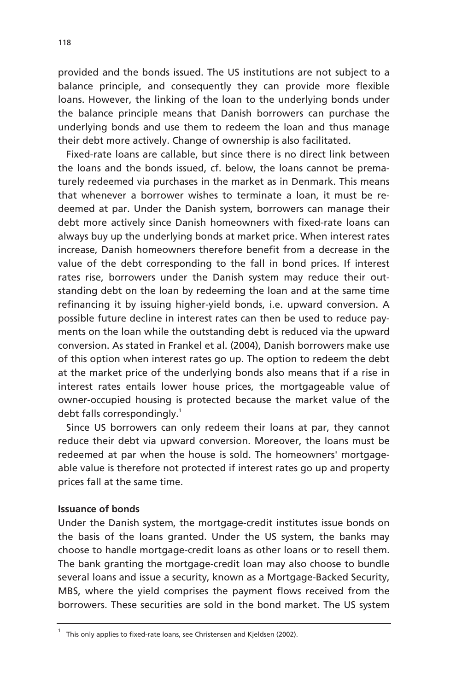provided and the bonds issued. The US institutions are not subject to a balance principle, and consequently they can provide more flexible loans. However, the linking of the loan to the underlying bonds under the balance principle means that Danish borrowers can purchase the underlying bonds and use them to redeem the loan and thus manage their debt more actively. Change of ownership is also facilitated.

Fixed-rate loans are callable, but since there is no direct link between the loans and the bonds issued, cf. below, the loans cannot be prematurely redeemed via purchases in the market as in Denmark. This means that whenever a borrower wishes to terminate a loan, it must be redeemed at par. Under the Danish system, borrowers can manage their debt more actively since Danish homeowners with fixed-rate loans can always buy up the underlying bonds at market price. When interest rates increase, Danish homeowners therefore benefit from a decrease in the value of the debt corresponding to the fall in bond prices. If interest rates rise, borrowers under the Danish system may reduce their outstanding debt on the loan by redeeming the loan and at the same time refinancing it by issuing higher-yield bonds, i.e. upward conversion. A possible future decline in interest rates can then be used to reduce payments on the loan while the outstanding debt is reduced via the upward conversion. As stated in Frankel et al. (2004), Danish borrowers make use of this option when interest rates go up. The option to redeem the debt at the market price of the underlying bonds also means that if a rise in interest rates entails lower house prices, the mortgageable value of owner-occupied housing is protected because the market value of the debt falls correspondingly.<sup>1</sup>

Since US borrowers can only redeem their loans at par, they cannot reduce their debt via upward conversion. Moreover, the loans must be redeemed at par when the house is sold. The homeowners' mortgageable value is therefore not protected if interest rates go up and property prices fall at the same time.

# **Issuance of bonds**

Under the Danish system, the mortgage-credit institutes issue bonds on the basis of the loans granted. Under the US system, the banks may choose to handle mortgage-credit loans as other loans or to resell them. The bank granting the mortgage-credit loan may also choose to bundle several loans and issue a security, known as a Mortgage-Backed Security, MBS, where the yield comprises the payment flows received from the borrowers. These securities are sold in the bond market. The US system

<sup>1</sup> This only applies to fixed-rate loans, see Christensen and Kjeldsen (2002).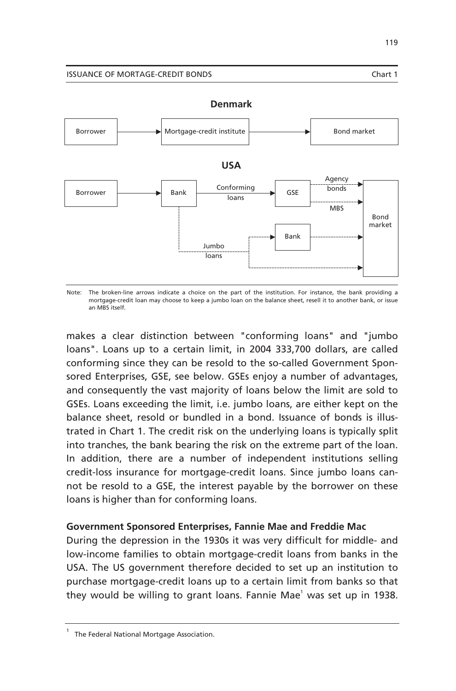#### ISSUANCE OF MORTAGE-CREDIT BONDS Chart 1



Note: The broken-line arrows indicate a choice on the part of the institution. For instance, the bank providing a mortgage-credit loan may choose to keep a jumbo loan on the balance sheet, resell it to another bank, or issue an MBS itself.

makes a clear distinction between "conforming loans" and "jumbo loans". Loans up to a certain limit, in 2004 333,700 dollars, are called conforming since they can be resold to the so-called Government Sponsored Enterprises, GSE, see below. GSEs enjoy a number of advantages, and consequently the vast majority of loans below the limit are sold to GSEs. Loans exceeding the limit, i.e. jumbo loans, are either kept on the balance sheet, resold or bundled in a bond. Issuance of bonds is illustrated in Chart 1. The credit risk on the underlying loans is typically split into tranches, the bank bearing the risk on the extreme part of the loan. In addition, there are a number of independent institutions selling credit-loss insurance for mortgage-credit loans. Since jumbo loans cannot be resold to a GSE, the interest payable by the borrower on these loans is higher than for conforming loans.

# **Government Sponsored Enterprises, Fannie Mae and Freddie Mac**

During the depression in the 1930s it was very difficult for middle- and low-income families to obtain mortgage-credit loans from banks in the USA. The US government therefore decided to set up an institution to purchase mortgage-credit loans up to a certain limit from banks so that they would be willing to grant loans. Fannie Mae<sup>1</sup> was set up in 1938.

**Denmark** 

<sup>1</sup> The Federal National Mortgage Association.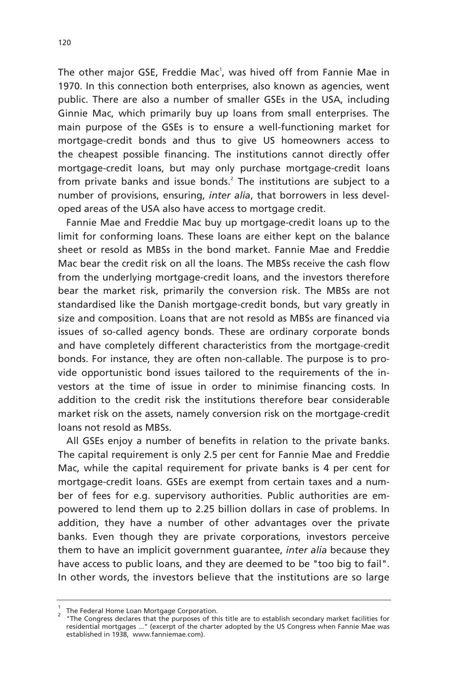The other major GSE, Freddie Mac<sup>1</sup>, was hived off from Fannie Mae in 1970. In this connection both enterprises, also known as agencies, went public. There are also a number of smaller GSEs in the USA, including Ginnie Mac, which primarily buy up loans from small enterprises. The main purpose of the GSEs is to ensure a well-functioning market for mortgage-credit bonds and thus to give US homeowners access to the cheapest possible financing. The institutions cannot directly offer mortgage-credit loans, but may only purchase mortgage-credit loans from private banks and issue bonds.<sup>2</sup> The institutions are subject to a number of provisions, ensuring, *inter alia*, that borrowers in less developed areas of the USA also have access to mortgage credit.

Fannie Mae and Freddie Mac buy up mortgage-credit loans up to the limit for conforming loans. These loans are either kept on the balance sheet or resold as MBSs in the bond market. Fannie Mae and Freddie Mac bear the credit risk on all the loans. The MBSs receive the cash flow from the underlying mortgage-credit loans, and the investors therefore bear the market risk, primarily the conversion risk. The MBSs are not standardised like the Danish mortgage-credit bonds, but vary greatly in size and composition. Loans that are not resold as MBSs are financed via issues of so-called agency bonds. These are ordinary corporate bonds and have completely different characteristics from the mortgage-credit bonds. For instance, they are often non-callable. The purpose is to provide opportunistic bond issues tailored to the requirements of the investors at the time of issue in order to minimise financing costs. In addition to the credit risk the institutions therefore bear considerable market risk on the assets, namely conversion risk on the mortgage-credit loans not resold as MBSs.

All GSEs enjoy a number of benefits in relation to the private banks. The capital requirement is only 2.5 per cent for Fannie Mae and Freddie Mac, while the capital requirement for private banks is 4 per cent for mortgage-credit loans. GSEs are exempt from certain taxes and a number of fees for e.g. supervisory authorities. Public authorities are empowered to lend them up to 2.25 billion dollars in case of problems. In addition, they have a number of other advantages over the private banks. Even though they are private corporations, investors perceive them to have an implicit government guarantee, *inter alia* because they have access to public loans, and they are deemed to be "too big to fail". In other words, the investors believe that the institutions are so large

<sup>&</sup>lt;sup>1</sup> The Federal Home Loan Mortgage Corporation.

 <sup>&</sup>quot;The Congress declares that the purposes of this title are to establish secondary market facilities for residential mortgages ..." (excerpt of the charter adopted by the US Congress when Fannie Mae was established in 1938, www.fanniemae.com).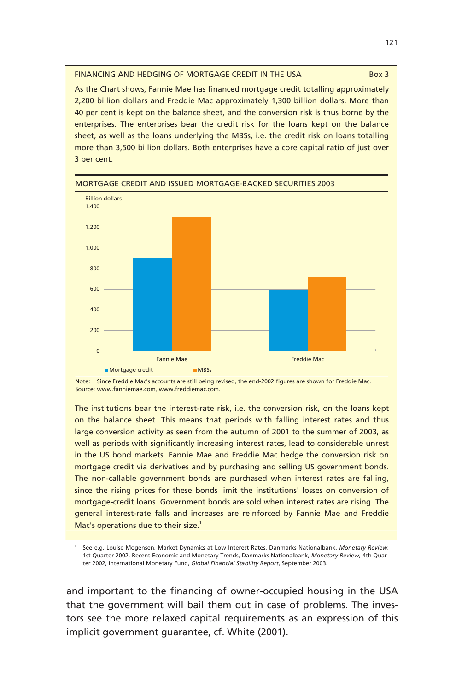| FINANCING AND HEDGING OF MORTGAGE CREDIT IN THE USA | Box 3 |
|-----------------------------------------------------|-------|
|-----------------------------------------------------|-------|

As the Chart shows, Fannie Mae has financed mortgage credit totalling approximately 2,200 billion dollars and Freddie Mac approximately 1,300 billion dollars. More than 40 per cent is kept on the balance sheet, and the conversion risk is thus borne by the enterprises. The enterprises bear the credit risk for the loans kept on the balance sheet, as well as the loans underlying the MBSs, i.e. the credit risk on loans totalling more than 3,500 billion dollars. Both enterprises have a core capital ratio of just over 3 per cent.



MORTGAGE CREDIT AND ISSUED MORTGAGE-BACKED SECURITIES 2003

Note: Since Freddie Mac's accounts are still being revised, the end-2002 figures are shown for Freddie Mac. Source: www.fanniemae.com, www.freddiemac.com.

The institutions bear the interest-rate risk, i.e. the conversion risk, on the loans kept on the balance sheet. This means that periods with falling interest rates and thus large conversion activity as seen from the autumn of 2001 to the summer of 2003, as well as periods with significantly increasing interest rates, lead to considerable unrest in the US bond markets. Fannie Mae and Freddie Mac hedge the conversion risk on mortgage credit via derivatives and by purchasing and selling US government bonds. The non-callable government bonds are purchased when interest rates are falling, since the rising prices for these bonds limit the institutions' losses on conversion of mortgage-credit loans. Government bonds are sold when interest rates are rising. The general interest-rate falls and increases are reinforced by Fannie Mae and Freddie Mac's operations due to their size.<sup>1</sup>

1 See e.g. Louise Mogensen, Market Dynamics at Low Interest Rates, Danmarks Nationalbank, *Monetary Review*, 1st Quarter 2002, Recent Economic and Monetary Trends, Danmarks Nationalbank, *Monetary Review,* 4th Quarter 2002, International Monetary Fund, *Global Financial Stability Report*, September 2003.

and important to the financing of owner-occupied housing in the USA that the government will bail them out in case of problems. The investors see the more relaxed capital requirements as an expression of this implicit government guarantee, cf. White (2001).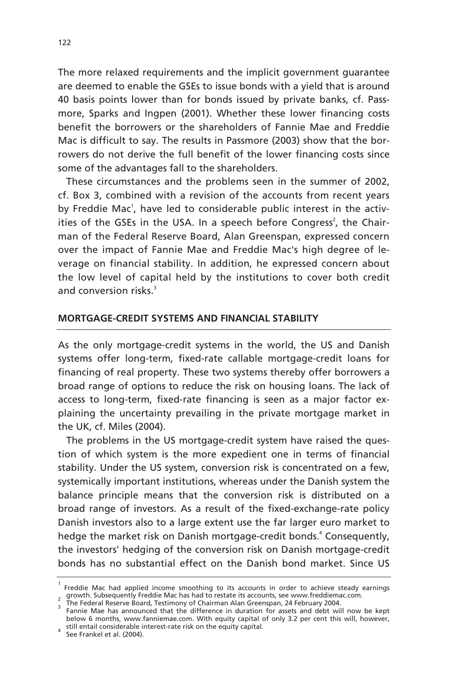The more relaxed requirements and the implicit government guarantee are deemed to enable the GSEs to issue bonds with a yield that is around 40 basis points lower than for bonds issued by private banks, cf. Passmore, Sparks and Ingpen (2001). Whether these lower financing costs benefit the borrowers or the shareholders of Fannie Mae and Freddie Mac is difficult to say. The results in Passmore (2003) show that the borrowers do not derive the full benefit of the lower financing costs since some of the advantages fall to the shareholders.

These circumstances and the problems seen in the summer of 2002, cf. Box 3, combined with a revision of the accounts from recent years by Freddie Mac<sup>1</sup>, have led to considerable public interest in the activities of the GSEs in the USA. In a speech before Congress<sup>2</sup>, the Chairman of the Federal Reserve Board, Alan Greenspan, expressed concern over the impact of Fannie Mae and Freddie Mac's high degree of leverage on financial stability. In addition, he expressed concern about the low level of capital held by the institutions to cover both credit and conversion risks.<sup>3</sup>

## **MORTGAGE-CREDIT SYSTEMS AND FINANCIAL STABILITY**

As the only mortgage-credit systems in the world, the US and Danish systems offer long-term, fixed-rate callable mortgage-credit loans for financing of real property. These two systems thereby offer borrowers a broad range of options to reduce the risk on housing loans. The lack of access to long-term, fixed-rate financing is seen as a major factor explaining the uncertainty prevailing in the private mortgage market in the UK, cf. Miles (2004).

The problems in the US mortgage-credit system have raised the question of which system is the more expedient one in terms of financial stability. Under the US system, conversion risk is concentrated on a few, systemically important institutions, whereas under the Danish system the balance principle means that the conversion risk is distributed on a broad range of investors. As a result of the fixed-exchange-rate policy Danish investors also to a large extent use the far larger euro market to hedge the market risk on Danish mortgage-credit bonds.<sup>4</sup> Consequently, the investors' hedging of the conversion risk on Danish mortgage-credit bonds has no substantial effect on the Danish bond market. Since US

<sup>1</sup> Freddie Mac had applied income smoothing to its accounts in order to achieve steady earnings  $_2$  growth. Subsequently Freddie Mac has had to restate its accounts, see www.freddiemac.com.<br>3 The Federal Reserve Board, Testimony of Chairman Alan Greenspan, 24 February 2004.

Fannie Mae has announced that the difference in duration for assets and debt will now be kept below 6 months, www.fanniemae.com. With equity capital of only 3.2 per cent this will, however, still entail considerable interest-rate risk on the equity capital. 4

See Frankel et al. (2004).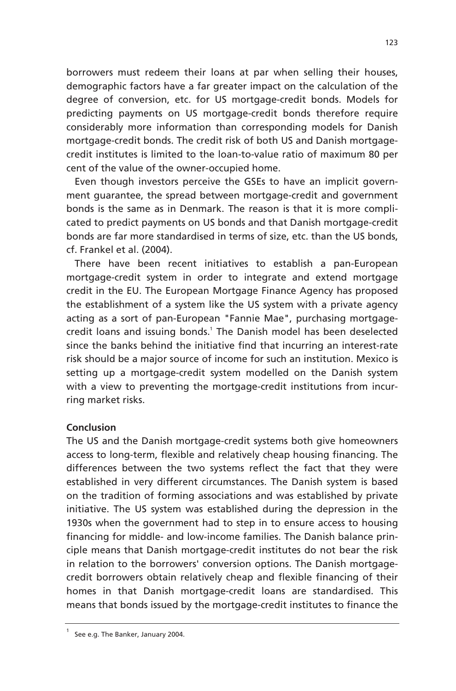borrowers must redeem their loans at par when selling their houses, demographic factors have a far greater impact on the calculation of the degree of conversion, etc. for US mortgage-credit bonds. Models for predicting payments on US mortgage-credit bonds therefore require considerably more information than corresponding models for Danish mortgage-credit bonds. The credit risk of both US and Danish mortgagecredit institutes is limited to the loan-to-value ratio of maximum 80 per cent of the value of the owner-occupied home.

Even though investors perceive the GSEs to have an implicit government guarantee, the spread between mortgage-credit and government bonds is the same as in Denmark. The reason is that it is more complicated to predict payments on US bonds and that Danish mortgage-credit bonds are far more standardised in terms of size, etc. than the US bonds, cf. Frankel et al. (2004).

There have been recent initiatives to establish a pan-European mortgage-credit system in order to integrate and extend mortgage credit in the EU. The European Mortgage Finance Agency has proposed the establishment of a system like the US system with a private agency acting as a sort of pan-European "Fannie Mae", purchasing mortgagecredit loans and issuing bonds.<sup>1</sup> The Danish model has been deselected since the banks behind the initiative find that incurring an interest-rate risk should be a major source of income for such an institution. Mexico is setting up a mortgage-credit system modelled on the Danish system with a view to preventing the mortgage-credit institutions from incurring market risks.

# **Conclusion**

The US and the Danish mortgage-credit systems both give homeowners access to long-term, flexible and relatively cheap housing financing. The differences between the two systems reflect the fact that they were established in very different circumstances. The Danish system is based on the tradition of forming associations and was established by private initiative. The US system was established during the depression in the 1930s when the government had to step in to ensure access to housing financing for middle- and low-income families. The Danish balance principle means that Danish mortgage-credit institutes do not bear the risk in relation to the borrowers' conversion options. The Danish mortgagecredit borrowers obtain relatively cheap and flexible financing of their homes in that Danish mortgage-credit loans are standardised. This means that bonds issued by the mortgage-credit institutes to finance the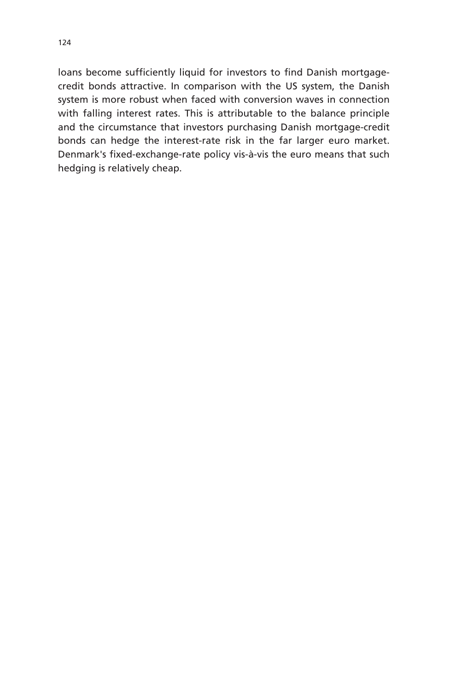loans become sufficiently liquid for investors to find Danish mortgagecredit bonds attractive. In comparison with the US system, the Danish system is more robust when faced with conversion waves in connection with falling interest rates. This is attributable to the balance principle and the circumstance that investors purchasing Danish mortgage-credit bonds can hedge the interest-rate risk in the far larger euro market. Denmark's fixed-exchange-rate policy vis-à-vis the euro means that such hedging is relatively cheap.